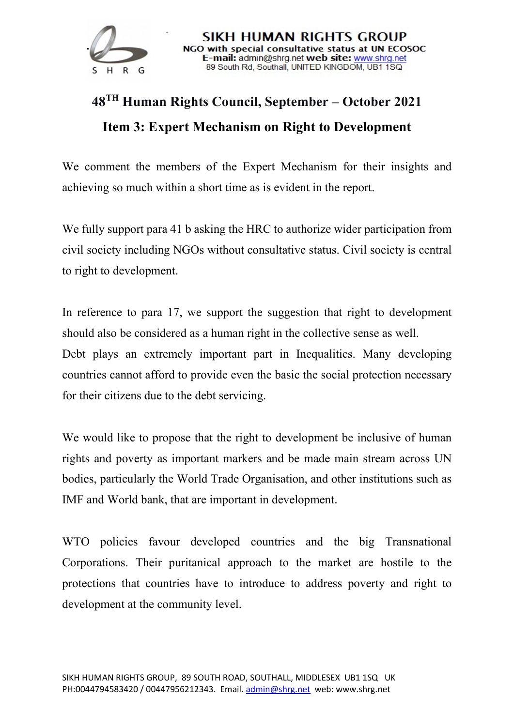

## **48TH Human Rights Council, September – October 2021 Item 3: Expert Mechanism on Right to Development**

We comment the members of the Expert Mechanism for their insights and achieving so much within a short time as is evident in the report.

We fully support para 41 b asking the HRC to authorize wider participation from civil society including NGOs without consultative status. Civil society is central to right to development.

In reference to para 17, we support the suggestion that right to development should also be considered as a human right in the collective sense as well. Debt plays an extremely important part in Inequalities. Many developing countries cannot afford to provide even the basic the social protection necessary for their citizens due to the debt servicing.

We would like to propose that the right to development be inclusive of human rights and poverty as important markers and be made main stream across UN bodies, particularly the World Trade Organisation, and other institutions such as IMF and World bank, that are important in development.

WTO policies favour developed countries and the big Transnational Corporations. Their puritanical approach to the market are hostile to the protections that countries have to introduce to address poverty and right to development at the community level.